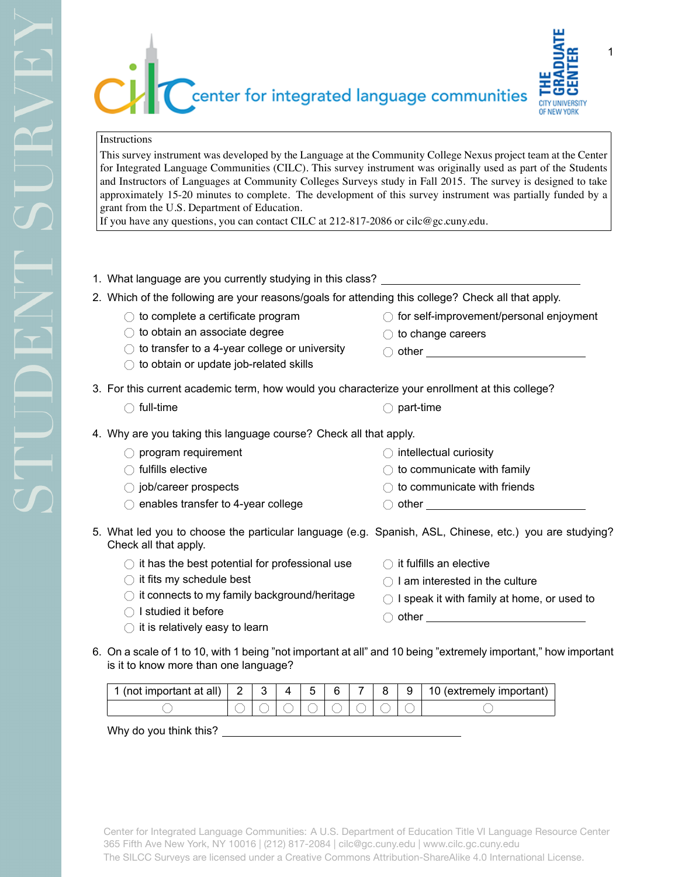

## Instructions

This survey instrument was developed by the Language at the Community College Nexus project team at the Center for Integrated Language Communities (CILC). This survey instrument was originally used as part of the Students and Instructors of Languages at Community Colleges Surveys study in Fall 2015. The survey is designed to take approximately 15-20 minutes to complete. The development of this survey instrument was partially funded by a grant from the U.S. Department of Education.

If you have any questions, you can contact CILC at  $212-817-2086$  or cilc@gc.cuny.edu.

- 1. What language are you currently studying in this class?
- 2. Which of the following are your reasons/goals for attending this college? Check all that apply.
	- $\bigcirc$  to complete a certificate program
	- $\bigcirc$  to obtain an associate degree
	- $\bigcirc$  to transfer to a 4-year college or university
	- $\bigcirc$  to obtain or update job-related skills
- $\bigcirc$  for self-improvement/personal enjoyment
- $\bigcirc$  to change careers

 $\bigcirc$  intellectual curiosity

- $\bigcirc$  other  $\qquad \qquad$
- 3. For this current academic term, how would you characterize your enrollment at this college?
	-
	- $\bigcirc$  full-time  $\bigcirc$  part-time

 $\bigcirc$  other  $\_$ 

- 4. Why are you taking this language course? Check all that apply.
	- $\bigcirc$  program requirement
	- $\bigcirc$  fulfills elective
	- $\bigcirc$  job/career prospects
	- $\bigcirc$  enables transfer to 4-year college
- 5. What led you to choose the particular language (e.g. Spanish, ASL, Chinese, etc.) you are studying? Check all that apply.
	- $\bigcirc$  it has the best potential for professional use
	- $\bigcirc$  it fits my schedule best
	- $\bigcirc$  it connects to my family background/heritage
	- $\bigcirc$  I studied it before
	- $\bigcirc$  it is relatively easy to learn

 $\bigcirc$  it fulfills an elective

 $\bigcirc$  to communicate with family  $\bigcirc$  to communicate with friends

- $\bigcirc$  I am interested in the culture
- 
- $\bigcirc$  I speak it with family at home, or used to
- $\bigcirc$  other and  $\bigcirc$  other and  $\bigcirc$  other and  $\bigcirc$  other and  $\bigcirc$  other and  $\bigcirc$  other and  $\bigcirc$  other and  $\bigcirc$  other and  $\bigcirc$  other and  $\bigcirc$  other and  $\bigcirc$  other and  $\bigcirc$  other and  $\bigcirc$  other and  $\bigcirc$  other a
- 6. On a scale of 1 to 10, with 1 being "not important at all" and 10 being "extremely important," how important is it to know more than one language?

| (not important at all)<br>4 |  | -<br>∽ | 6 | - | a | 10 (extremely important) |
|-----------------------------|--|--------|---|---|---|--------------------------|
|                             |  |        |   |   |   |                          |

Why do you think this?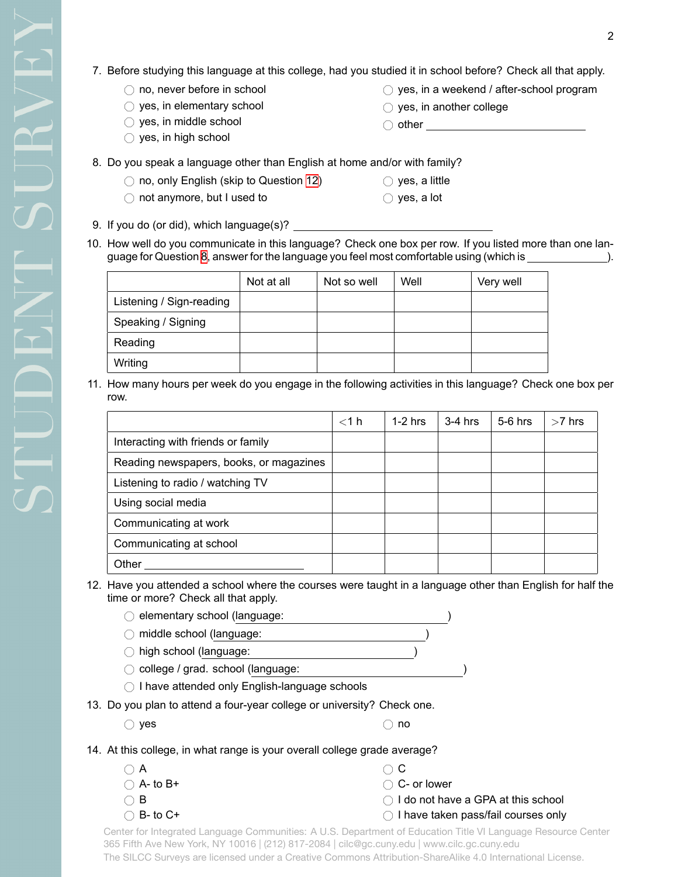- 7. Before studying this language at this college, had you studied it in school before? Check all that apply.
	- $\bigcirc$  no, never before in school
	- $\bigcirc$  yes, in elementary school
	- $\bigcirc$  yes, in middle school
	- $\bigcirc$  yes, in high school
- $\circlearrowright$  yes, in a weekend / after-school program
- $\bigcirc$  yes, in another college

 $\bigcirc$  yes, a little  $\bigcirc$  yes, a lot

- $\bigcirc$  other  $\_\_$
- <span id="page-1-1"></span>8. Do you speak a language other than English at home and/or with family?
	- $\bigcirc$  no, only English (skip to Question [12\)](#page-1-0)
	- $\bigcirc$  not anymore, but I used to

9. If you do (or did), which language(s)?

- 
- 10. How well do you communicate in this language? Check one box per row. If you listed more than one language for Question [8](#page-1-1), answer for the language you feel most comfortable using (which is ).

|                          | Not at all | Not so well | Well | Very well |
|--------------------------|------------|-------------|------|-----------|
| Listening / Sign-reading |            |             |      |           |
| Speaking / Signing       |            |             |      |           |
| Reading                  |            |             |      |           |
| Writing                  |            |             |      |           |

11. How many hours per week do you engage in the following activities in this language? Check one box per row.

|                                         | $<$ 1 h | $1-2$ hrs | $3-4$ hrs | $5-6$ hrs | $>7$ hrs |
|-----------------------------------------|---------|-----------|-----------|-----------|----------|
| Interacting with friends or family      |         |           |           |           |          |
| Reading newspapers, books, or magazines |         |           |           |           |          |
| Listening to radio / watching TV        |         |           |           |           |          |
| Using social media                      |         |           |           |           |          |
| Communicating at work                   |         |           |           |           |          |
| Communicating at school                 |         |           |           |           |          |
| Other                                   |         |           |           |           |          |

- <span id="page-1-0"></span>12. Have you attended a school where the courses were taught in a language other than English for half the time or more? Check all that apply.
	- $\bigcirc$  elementary school (language:
	- $\bigcirc$  middle school (language:
	- $\bigcirc$  high school (language:  $\bigcirc$  college / grad. school (language:
	- $\bigcirc$  I have attended only English-language schools
- 13. Do you plan to attend a four-year college or university? Check one.
	- $\bigcirc$  yes  $\bigcirc$  no

 $\bigcirc$  $\bigcirc$  $\bigcirc$  $\bigcirc$ 

14. At this college, in what range is your overall college grade average?

|              | $\cap$ C                                                                                |
|--------------|-----------------------------------------------------------------------------------------|
| $A-$ to $B+$ | ◯ C- or lower                                                                           |
|              | $\bigcirc$ I do not have a GPA at this school                                           |
| $B-$ to $C+$ | ◯ I have taken pass/fail courses only                                                   |
|              | fey Integrated Languege Communition AILO Denomment of Education Title VII oneugen Descu |

Center for Integrated Language Communities: A U.S. Department of Education Title VI Language Resource Center 365 Fifth Ave New York, NY 10016 | (212) 817-2084 | cilc@gc.cuny.edu | www.cilc.gc.cuny.edu The SILCC Surveys are licensed under a Creative Commons Attribution-ShareAlike 4.0 International License.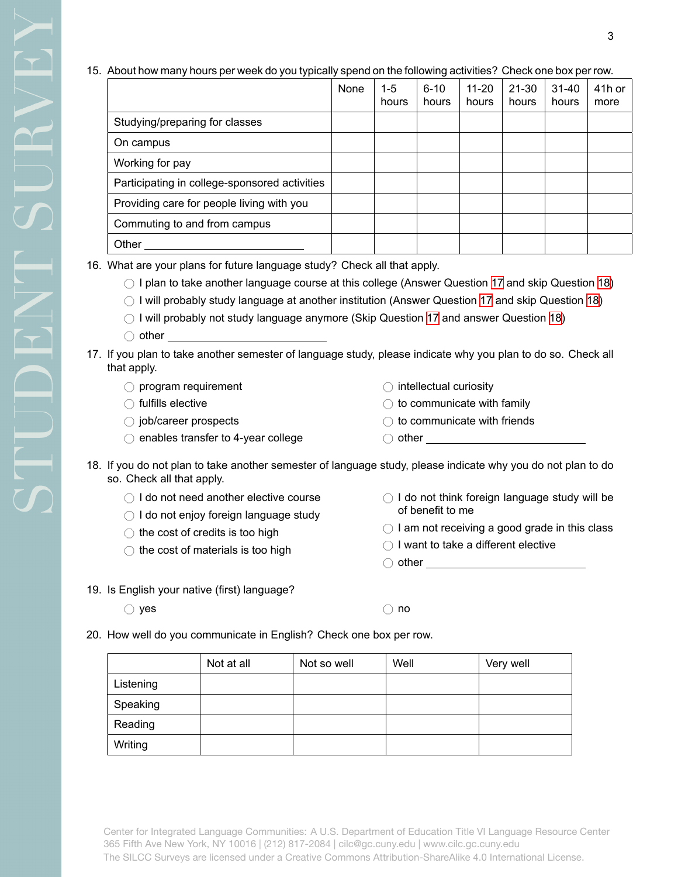## 15. About how many hours per week do you typically spend on the following activities? Check one box per row.

|                                               | None | $1 - 5$<br>hours | $6 - 10$<br>hours | $11 - 20$<br>hours | 21-30<br>hours | $31 - 40$<br>hours | 41h or<br>more |
|-----------------------------------------------|------|------------------|-------------------|--------------------|----------------|--------------------|----------------|
| Studying/preparing for classes                |      |                  |                   |                    |                |                    |                |
| On campus                                     |      |                  |                   |                    |                |                    |                |
| Working for pay                               |      |                  |                   |                    |                |                    |                |
| Participating in college-sponsored activities |      |                  |                   |                    |                |                    |                |
| Providing care for people living with you     |      |                  |                   |                    |                |                    |                |
| Commuting to and from campus                  |      |                  |                   |                    |                |                    |                |
| Other                                         |      |                  |                   |                    |                |                    |                |

16. What are your plans for future language study? Check all that apply.

 $\bigcirc$  I plan to take another language course at this college (Answer Question [17](#page-2-0) and skip Question [18](#page-2-1))

- $\bigcirc$  I will probably study language at another institution (Answer Question [17](#page-2-0) and skip Question [18](#page-2-1))
- $\bigcirc$  I will probably not study language anymore (Skip Question [17](#page-2-0) and answer Question [18](#page-2-1))
- $\bigcirc$  other
- <span id="page-2-0"></span>17. If you plan to take another semester of language study, please indicate why you plan to do so. Check all that apply.
	- $\bigcirc$  program requirement
	- $\bigcirc$  fulfills elective
	- $\bigcirc$  job/career prospects
	- $\bigcirc$  enables transfer to 4-year college
- $\bigcirc$  intellectual curiosity
- $\bigcirc$  to communicate with family
- $\bigcirc$  to communicate with friends
- $\bigcirc$  other
- <span id="page-2-1"></span>18. If you do not plan to take another semester of language study, please indicate why you do not plan to do so. Check all that apply.
	- $\bigcirc$  I do not need another elective course
	- $\bigcirc$  I do not enjoy foreign language study
	- $\bigcirc$  the cost of credits is too high
	- $\bigcirc$  the cost of materials is too high
- $\bigcirc$  I do not think foreign language study will be of benefit to me
- $\bigcirc$  I am not receiving a good grade in this class
- $\bigcirc$  I want to take a different elective
- $\bigcirc$  other set of  $\bigcirc$  other
- 19. Is English your native (first) language?

 $\bigcirc$  yes  $\bigcirc$  no

20. How well do you communicate in English? Check one box per row.

|           | Not at all | Not so well | Well | Very well |
|-----------|------------|-------------|------|-----------|
| Listening |            |             |      |           |
| Speaking  |            |             |      |           |
| Reading   |            |             |      |           |
| Writing   |            |             |      |           |

Center for Integrated Language Communities: A U.S. Department of Education Title VI Language Resource Center 365 Fifth Ave New York, NY 10016 | (212) 817-2084 | cilc@gc.cuny.edu | www.cilc.gc.cuny.edu The SILCC Surveys are licensed under a Creative Commons Attribution-ShareAlike 4.0 International License.